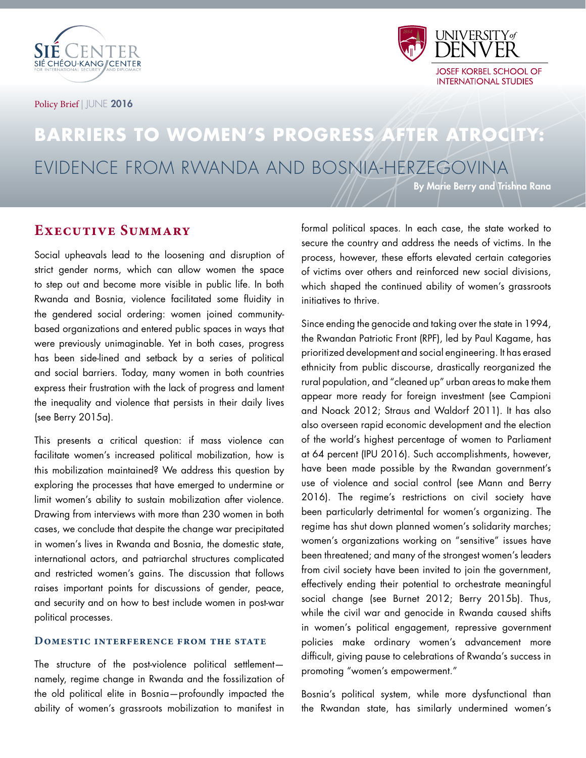



Policy Brief | JUNE 2016

# **BARRIERS TO WOMEN'S PROGRESS AFTER ATROCITY:** EVIDENCE FROM RWANDA AND BOSNIA-HERZEGOVINA

By Marie Berry and Trishna Rana

## **Executive Summary**

Social upheavals lead to the loosening and disruption of strict gender norms, which can allow women the space to step out and become more visible in public life. In both Rwanda and Bosnia, violence facilitated some fluidity in the gendered social ordering: women joined communitybased organizations and entered public spaces in ways that were previously unimaginable. Yet in both cases, progress has been side-lined and setback by a series of political and social barriers. Today, many women in both countries express their frustration with the lack of progress and lament the inequality and violence that persists in their daily lives (see Berry 2015a).

This presents a critical question: if mass violence can facilitate women's increased political mobilization, how is this mobilization maintained? We address this question by exploring the processes that have emerged to undermine or limit women's ability to sustain mobilization after violence. Drawing from interviews with more than 230 women in both cases, we conclude that despite the change war precipitated in women's lives in Rwanda and Bosnia, the domestic state, international actors, and patriarchal structures complicated and restricted women's gains. The discussion that follows raises important points for discussions of gender, peace, and security and on how to best include women in post-war political processes.

#### **Domestic interference from the state**

The structure of the post-violence political settlement namely, regime change in Rwanda and the fossilization of the old political elite in Bosnia—profoundly impacted the ability of women's grassroots mobilization to manifest in

formal political spaces. In each case, the state worked to secure the country and address the needs of victims. In the process, however, these efforts elevated certain categories of victims over others and reinforced new social divisions, which shaped the continued ability of women's grassroots initiatives to thrive.

Since ending the genocide and taking over the state in 1994, the Rwandan Patriotic Front (RPF), led by Paul Kagame, has prioritized development and social engineering. It has erased ethnicity from public discourse, drastically reorganized the rural population, and "cleaned up" urban areas to make them appear more ready for foreign investment (see Campioni and Noack 2012; Straus and Waldorf 2011). It has also also overseen rapid economic development and the election of the world's highest percentage of women to Parliament at 64 percent (IPU 2016). Such accomplishments, however, have been made possible by the Rwandan government's use of violence and social control (see Mann and Berry 2016). The regime's restrictions on civil society have been particularly detrimental for women's organizing. The regime has shut down planned women's solidarity marches; women's organizations working on "sensitive" issues have been threatened; and many of the strongest women's leaders from civil society have been invited to join the government, effectively ending their potential to orchestrate meaningful social change (see Burnet 2012; Berry 2015b). Thus, while the civil war and genocide in Rwanda caused shifts in women's political engagement, repressive government policies make ordinary women's advancement more difficult, giving pause to celebrations of Rwanda's success in promoting "women's empowerment."

Bosnia's political system, while more dysfunctional than the Rwandan state, has similarly undermined women's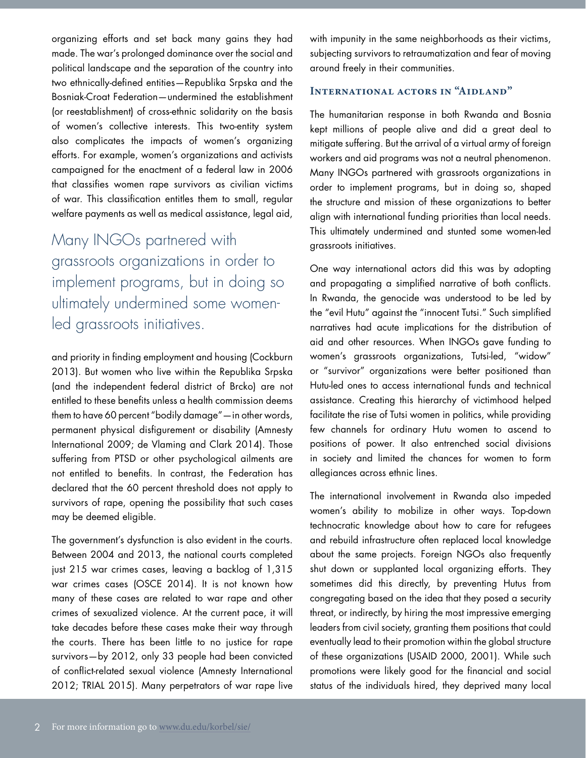organizing efforts and set back many gains they had made. The war's prolonged dominance over the social and political landscape and the separation of the country into two ethnically-defined entities—Republika Srpska and the Bosniak-Croat Federation—undermined the establishment (or reestablishment) of cross-ethnic solidarity on the basis of women's collective interests. This two-entity system also complicates the impacts of women's organizing efforts. For example, women's organizations and activists campaigned for the enactment of a federal law in 2006 that classifies women rape survivors as civilian victims of war. This classification entitles them to small, regular welfare payments as well as medical assistance, legal aid,

Many INGOs partnered with grassroots organizations in order to implement programs, but in doing so ultimately undermined some womenled grassroots initiatives.

and priority in finding employment and housing (Cockburn 2013). But women who live within the Republika Srpska (and the independent federal district of Brcko) are not entitled to these benefits unless a health commission deems them to have 60 percent "bodily damage"—in other words, permanent physical disfigurement or disability (Amnesty International 2009; de Vlaming and Clark 2014). Those suffering from PTSD or other psychological ailments are not entitled to benefits. In contrast, the Federation has declared that the 60 percent threshold does not apply to survivors of rape, opening the possibility that such cases may be deemed eligible.

The government's dysfunction is also evident in the courts. Between 2004 and 2013, the national courts completed just 215 war crimes cases, leaving a backlog of 1,315 war crimes cases (OSCE 2014). It is not known how many of these cases are related to war rape and other crimes of sexualized violence. At the current pace, it will take decades before these cases make their way through the courts. There has been little to no justice for rape survivors—by 2012, only 33 people had been convicted of conflict-related sexual violence (Amnesty International 2012; TRIAL 2015). Many perpetrators of war rape live with impunity in the same neighborhoods as their victims, subjecting survivors to retraumatization and fear of moving around freely in their communities.

### **International actors in "Aidland"**

The humanitarian response in both Rwanda and Bosnia kept millions of people alive and did a great deal to mitigate suffering. But the arrival of a virtual army of foreign workers and aid programs was not a neutral phenomenon. Many INGOs partnered with grassroots organizations in order to implement programs, but in doing so, shaped the structure and mission of these organizations to better align with international funding priorities than local needs. This ultimately undermined and stunted some women-led grassroots initiatives.

One way international actors did this was by adopting and propagating a simplified narrative of both conflicts. In Rwanda, the genocide was understood to be led by the "evil Hutu" against the "innocent Tutsi." Such simplified narratives had acute implications for the distribution of aid and other resources. When INGOs gave funding to women's grassroots organizations, Tutsi-led, "widow" or "survivor" organizations were better positioned than Hutu-led ones to access international funds and technical assistance. Creating this hierarchy of victimhood helped facilitate the rise of Tutsi women in politics, while providing few channels for ordinary Hutu women to ascend to positions of power. It also entrenched social divisions in society and limited the chances for women to form allegiances across ethnic lines.

The international involvement in Rwanda also impeded women's ability to mobilize in other ways. Top-down technocratic knowledge about how to care for refugees and rebuild infrastructure often replaced local knowledge about the same projects. Foreign NGOs also frequently shut down or supplanted local organizing efforts. They sometimes did this directly, by preventing Hutus from congregating based on the idea that they posed a security threat, or indirectly, by hiring the most impressive emerging leaders from civil society, granting them positions that could eventually lead to their promotion within the global structure of these organizations (USAID 2000, 2001). While such promotions were likely good for the financial and social status of the individuals hired, they deprived many local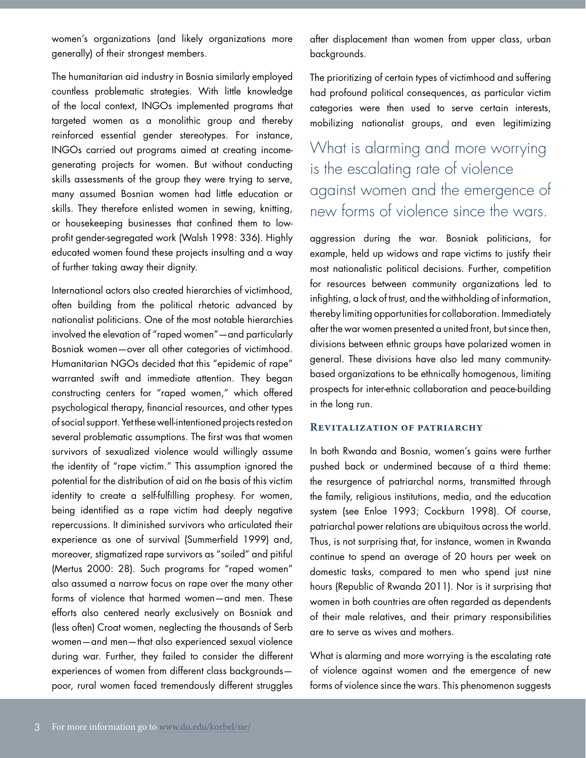women's organizations (and likely organizations more generally) of their strongest members.

The humanitarian aid industry in Bosnia similarly employed countless problematic strategies. With little knowledge of the local context, INGOs implemented programs that targeted women as a monolithic group and thereby reinforced essential gender stereotypes. For instance, INGOs carried out programs aimed at creating incomegenerating projects for women. But without conducting skills assessments of the group they were trying to serve, many assumed Bosnian women had little education or skills. They therefore enlisted women in sewing, knitting, or housekeeping businesses that confined them to lowprofit gender-segregated work (Walsh 1998: 336). Highly educated women found these projects insulting and a way of further taking away their dignity.

International actors also created hierarchies of victimhood, often building from the political rhetoric advanced by nationalist politicians. One of the most notable hierarchies involved the elevation of "raped women"—and particularly Bosniak women—over all other categories of victimhood. Humanitarian NGOs decided that this "epidemic of rape" warranted swift and immediate attention. They began constructing centers for "raped women," which offered psychological therapy, financial resources, and other types of social support. Yet these well-intentioned projects rested on several problematic assumptions. The first was that women survivors of sexualized violence would willingly assume the identity of "rape victim." This assumption ignored the potential for the distribution of aid on the basis of this victim identity to create a self-fulfilling prophesy. For women, being identified as a rape victim had deeply negative repercussions. It diminished survivors who articulated their experience as one of survival (Summerfield 1999) and, moreover, stigmatized rape survivors as "soiled" and pitiful (Mertus 2000: 28). Such programs for "raped women" also assumed a narrow focus on rape over the many other forms of violence that harmed women—and men. These efforts also centered nearly exclusively on Bosniak and (less often) Croat women, neglecting the thousands of Serb women—and men—that also experienced sexual violence during war. Further, they failed to consider the different experiences of women from different class backgrounds poor, rural women faced tremendously different struggles

after displacement than women from upper class, urban backgrounds.

The prioritizing of certain types of victimhood and suffering had profound political consequences, as particular victim categories were then used to serve certain interests, mobilizing nationalist groups, and even legitimizing

# What is alarming and more worrying is the escalating rate of violence against women and the emergence of new forms of violence since the wars.

aggression during the war. Bosniak politicians, for example, held up widows and rape victims to justify their most nationalistic political decisions. Further, competition for resources between community organizations led to infighting, a lack of trust, and the withholding of information, thereby limiting opportunities for collaboration. Immediately after the war women presented a united front, but since then, divisions between ethnic groups have polarized women in general. These divisions have also led many communitybased organizations to be ethnically homogenous, limiting prospects for inter-ethnic collaboration and peace-building in the long run.

#### **Revitalization of patriarchy**

In both Rwanda and Bosnia, women's gains were further pushed back or undermined because of a third theme: the resurgence of patriarchal norms, transmitted through the family, religious institutions, media, and the education system (see Enloe 1993; Cockburn 1998). Of course, patriarchal power relations are ubiquitous across the world. Thus, is not surprising that, for instance, women in Rwanda continue to spend an average of 20 hours per week on domestic tasks, compared to men who spend just nine hours (Republic of Rwanda 2011). Nor is it surprising that women in both countries are often regarded as dependents of their male relatives, and their primary responsibilities are to serve as wives and mothers.

What is alarming and more worrying is the escalating rate of violence against women and the emergence of new forms of violence since the wars. This phenomenon suggests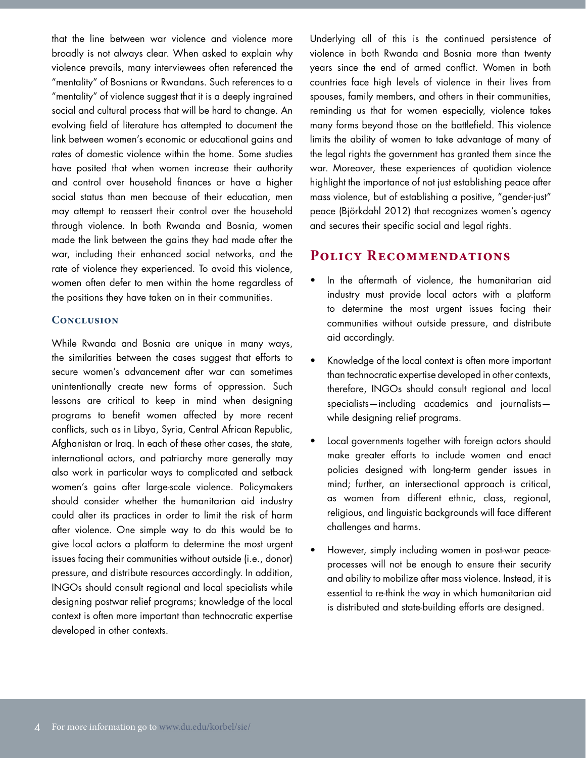that the line between war violence and violence more broadly is not always clear. When asked to explain why violence prevails, many interviewees often referenced the "mentality" of Bosnians or Rwandans. Such references to a "mentality" of violence suggest that it is a deeply ingrained social and cultural process that will be hard to change. An evolving field of literature has attempted to document the link between women's economic or educational gains and rates of domestic violence within the home. Some studies have posited that when women increase their authority and control over household finances or have a higher social status than men because of their education, men may attempt to reassert their control over the household through violence. In both Rwanda and Bosnia, women made the link between the gains they had made after the war, including their enhanced social networks, and the rate of violence they experienced. To avoid this violence, women often defer to men within the home regardless of the positions they have taken on in their communities.

#### **Conclusion**

While Rwanda and Bosnia are unique in many ways, the similarities between the cases suggest that efforts to secure women's advancement after war can sometimes unintentionally create new forms of oppression. Such lessons are critical to keep in mind when designing programs to benefit women affected by more recent conflicts, such as in Libya, Syria, Central African Republic, Afghanistan or Iraq. In each of these other cases, the state, international actors, and patriarchy more generally may also work in particular ways to complicated and setback women's gains after large-scale violence. Policymakers should consider whether the humanitarian aid industry could alter its practices in order to limit the risk of harm after violence. One simple way to do this would be to give local actors a platform to determine the most urgent issues facing their communities without outside (i.e., donor) pressure, and distribute resources accordingly. In addition, INGOs should consult regional and local specialists while designing postwar relief programs; knowledge of the local context is often more important than technocratic expertise developed in other contexts.

Underlying all of this is the continued persistence of violence in both Rwanda and Bosnia more than twenty years since the end of armed conflict. Women in both countries face high levels of violence in their lives from spouses, family members, and others in their communities, reminding us that for women especially, violence takes many forms beyond those on the battlefield. This violence limits the ability of women to take advantage of many of the legal rights the government has granted them since the war. Moreover, these experiences of quotidian violence highlight the importance of not just establishing peace after mass violence, but of establishing a positive, "gender-just" peace (Björkdahl 2012) that recognizes women's agency and secures their specific social and legal rights.

### **Policy Recommendations**

- In the aftermath of violence, the humanitarian aid industry must provide local actors with a platform to determine the most urgent issues facing their communities without outside pressure, and distribute aid accordingly.
- Knowledge of the local context is often more important than technocratic expertise developed in other contexts, therefore, INGOs should consult regional and local specialists—including academics and journalists while designing relief programs.
- Local governments together with foreign actors should make greater efforts to include women and enact policies designed with long-term gender issues in mind; further, an intersectional approach is critical, as women from different ethnic, class, regional, religious, and linguistic backgrounds will face different challenges and harms.
- However, simply including women in post-war peaceprocesses will not be enough to ensure their security and ability to mobilize after mass violence. Instead, it is essential to re-think the way in which humanitarian aid is distributed and state-building efforts are designed.